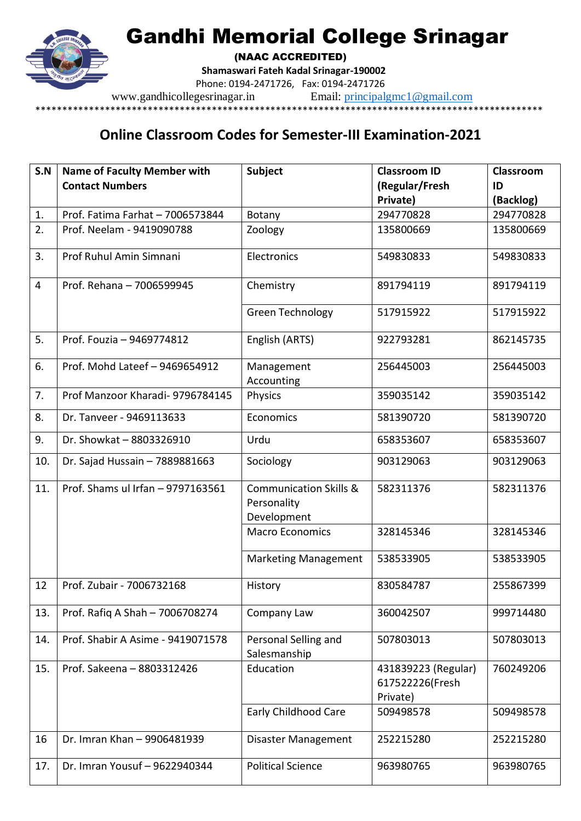## Gandhi Memorial College Srinagar



(NAAC ACCREDITED)

**Shamaswari Fateh Kadal Srinagar-190002**

Phone: 0194-2471726, Fax: 0194-2471726

www.gandhicollegesrinagar.in Email: [principalgmc1@gmail.com](mailto:principalgmc1@gmail.com)

## \*\*\*\*\*\*\*\*\*\*\*\*\*\*\*\*\*\*\*\*\*\*\*\*\*\*\*\*\*\*\*\*\*\*\*\*\*\*\*\*\*\*\*\*\*\*\*\*\*\*\*\*\*\*\*\*\*\*\*\*\*\*\*\*\*\*\*\*\*\*\*\*\*\*\*\*\*\*\*\*\*\*\*\*\*\*\*\*\*\*\*\*\*\*\*

## **Online Classroom Codes for Semester-III Examination-2021**

| S.N            | <b>Name of Faculty Member with</b> | <b>Subject</b>                                                  | <b>Classroom ID</b>                                | Classroom |
|----------------|------------------------------------|-----------------------------------------------------------------|----------------------------------------------------|-----------|
|                | <b>Contact Numbers</b>             |                                                                 | (Regular/Fresh                                     | ID        |
|                |                                    |                                                                 | Private)                                           | (Backlog) |
| 1.             | Prof. Fatima Farhat - 7006573844   | Botany                                                          | 294770828                                          | 294770828 |
| 2.             | Prof. Neelam - 9419090788          | Zoology                                                         | 135800669                                          | 135800669 |
| 3.             | Prof Ruhul Amin Simnani            | Electronics                                                     | 549830833                                          | 549830833 |
| $\overline{4}$ | Prof. Rehana - 7006599945          | Chemistry                                                       | 891794119                                          | 891794119 |
|                |                                    | Green Technology                                                | 517915922                                          | 517915922 |
| 5.             | Prof. Fouzia - 9469774812          | English (ARTS)                                                  | 922793281                                          | 862145735 |
| 6.             | Prof. Mohd Lateef - 9469654912     | Management<br>Accounting                                        | 256445003                                          | 256445003 |
| 7.             | Prof Manzoor Kharadi- 9796784145   | Physics                                                         | 359035142                                          | 359035142 |
| 8.             | Dr. Tanveer - 9469113633           | Economics                                                       | 581390720                                          | 581390720 |
| 9.             | Dr. Showkat - 8803326910           | Urdu                                                            | 658353607                                          | 658353607 |
| 10.            | Dr. Sajad Hussain - 7889881663     | Sociology                                                       | 903129063                                          | 903129063 |
| 11.            | Prof. Shams ul Irfan - 9797163561  | <b>Communication Skills &amp;</b><br>Personality<br>Development | 582311376                                          | 582311376 |
|                |                                    | <b>Macro Economics</b>                                          | 328145346                                          | 328145346 |
|                |                                    | <b>Marketing Management</b>                                     | 538533905                                          | 538533905 |
| 12             | Prof. Zubair - 7006732168          | History                                                         | 830584787                                          | 255867399 |
| 13.            | Prof. Rafiq A Shah - 7006708274    | Company Law                                                     | 360042507                                          | 999714480 |
| 14.            | Prof. Shabir A Asime - 9419071578  | Personal Selling and<br>Salesmanship                            | 507803013                                          | 507803013 |
| 15.            | Prof. Sakeena - 8803312426         | Education                                                       | 431839223 (Regular)<br>617522226(Fresh<br>Private) | 760249206 |
|                |                                    | <b>Early Childhood Care</b>                                     | 509498578                                          | 509498578 |
| 16             | Dr. Imran Khan - 9906481939        | Disaster Management                                             | 252215280                                          | 252215280 |
| 17.            | Dr. Imran Yousuf - 9622940344      | <b>Political Science</b>                                        | 963980765                                          | 963980765 |